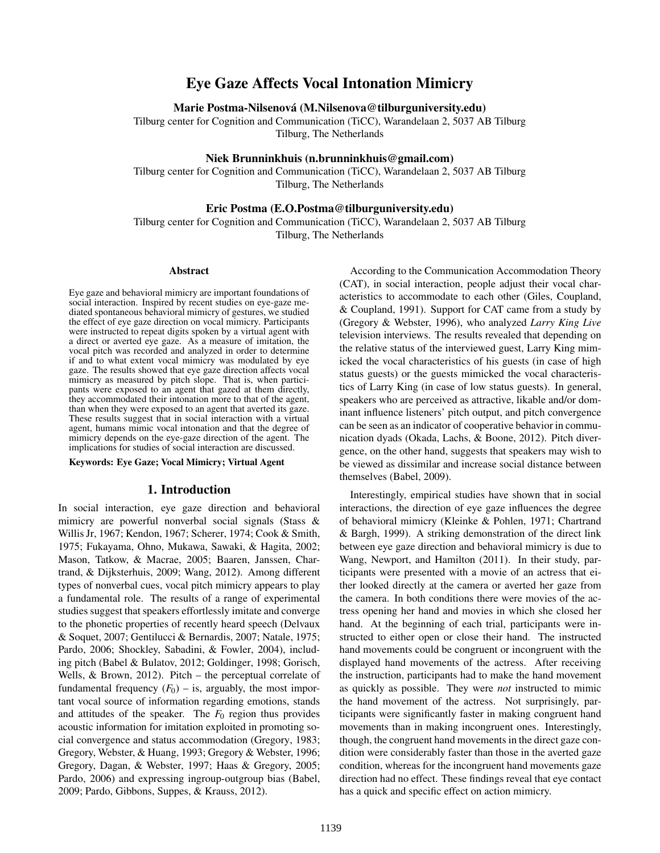# Eye Gaze Affects Vocal Intonation Mimicry

Marie Postma-Nilsenova (M.Nilsenova@tilburguniversity.edu) ´

Tilburg center for Cognition and Communication (TiCC), Warandelaan 2, 5037 AB Tilburg Tilburg, The Netherlands

## Niek Brunninkhuis (n.brunninkhuis@gmail.com)

Tilburg center for Cognition and Communication (TiCC), Warandelaan 2, 5037 AB Tilburg Tilburg, The Netherlands

#### Eric Postma (E.O.Postma@tilburguniversity.edu)

Tilburg center for Cognition and Communication (TiCC), Warandelaan 2, 5037 AB Tilburg Tilburg, The Netherlands

#### Abstract

Eye gaze and behavioral mimicry are important foundations of social interaction. Inspired by recent studies on eye-gaze mediated spontaneous behavioral mimicry of gestures, we studied the effect of eye gaze direction on vocal mimicry. Participants were instructed to repeat digits spoken by a virtual agent with a direct or averted eye gaze. As a measure of imitation, the vocal pitch was recorded and analyzed in order to determine if and to what extent vocal mimicry was modulated by eye gaze. The results showed that eye gaze direction affects vocal mimicry as measured by pitch slope. That is, when participants were exposed to an agent that gazed at them directly, they accommodated their intonation more to that of the agent, than when they were exposed to an agent that averted its gaze. These results suggest that in social interaction with a virtual agent, humans mimic vocal intonation and that the degree of mimicry depends on the eye-gaze direction of the agent. The implications for studies of social interaction are discussed.

Keywords: Eye Gaze; Vocal Mimicry; Virtual Agent

### 1. Introduction

In social interaction, eye gaze direction and behavioral mimicry are powerful nonverbal social signals (Stass & Willis Jr, 1967; Kendon, 1967; Scherer, 1974; Cook & Smith, 1975; Fukayama, Ohno, Mukawa, Sawaki, & Hagita, 2002; Mason, Tatkow, & Macrae, 2005; Baaren, Janssen, Chartrand, & Dijksterhuis, 2009; Wang, 2012). Among different types of nonverbal cues, vocal pitch mimicry appears to play a fundamental role. The results of a range of experimental studies suggest that speakers effortlessly imitate and converge to the phonetic properties of recently heard speech (Delvaux & Soquet, 2007; Gentilucci & Bernardis, 2007; Natale, 1975; Pardo, 2006; Shockley, Sabadini, & Fowler, 2004), including pitch (Babel & Bulatov, 2012; Goldinger, 1998; Gorisch, Wells, & Brown, 2012). Pitch – the perceptual correlate of fundamental frequency  $(F_0)$  – is, arguably, the most important vocal source of information regarding emotions, stands and attitudes of the speaker. The  $F_0$  region thus provides acoustic information for imitation exploited in promoting social convergence and status accommodation (Gregory, 1983; Gregory, Webster, & Huang, 1993; Gregory & Webster, 1996; Gregory, Dagan, & Webster, 1997; Haas & Gregory, 2005; Pardo, 2006) and expressing ingroup-outgroup bias (Babel, 2009; Pardo, Gibbons, Suppes, & Krauss, 2012).

According to the Communication Accommodation Theory (CAT), in social interaction, people adjust their vocal characteristics to accommodate to each other (Giles, Coupland, & Coupland, 1991). Support for CAT came from a study by (Gregory & Webster, 1996), who analyzed *Larry King Live* television interviews. The results revealed that depending on the relative status of the interviewed guest, Larry King mimicked the vocal characteristics of his guests (in case of high status guests) or the guests mimicked the vocal characteristics of Larry King (in case of low status guests). In general, speakers who are perceived as attractive, likable and/or dominant influence listeners' pitch output, and pitch convergence can be seen as an indicator of cooperative behavior in communication dyads (Okada, Lachs, & Boone, 2012). Pitch divergence, on the other hand, suggests that speakers may wish to be viewed as dissimilar and increase social distance between themselves (Babel, 2009).

Interestingly, empirical studies have shown that in social interactions, the direction of eye gaze influences the degree of behavioral mimicry (Kleinke & Pohlen, 1971; Chartrand & Bargh, 1999). A striking demonstration of the direct link between eye gaze direction and behavioral mimicry is due to Wang, Newport, and Hamilton (2011). In their study, participants were presented with a movie of an actress that either looked directly at the camera or averted her gaze from the camera. In both conditions there were movies of the actress opening her hand and movies in which she closed her hand. At the beginning of each trial, participants were instructed to either open or close their hand. The instructed hand movements could be congruent or incongruent with the displayed hand movements of the actress. After receiving the instruction, participants had to make the hand movement as quickly as possible. They were *not* instructed to mimic the hand movement of the actress. Not surprisingly, participants were significantly faster in making congruent hand movements than in making incongruent ones. Interestingly, though, the congruent hand movements in the direct gaze condition were considerably faster than those in the averted gaze condition, whereas for the incongruent hand movements gaze direction had no effect. These findings reveal that eye contact has a quick and specific effect on action mimicry.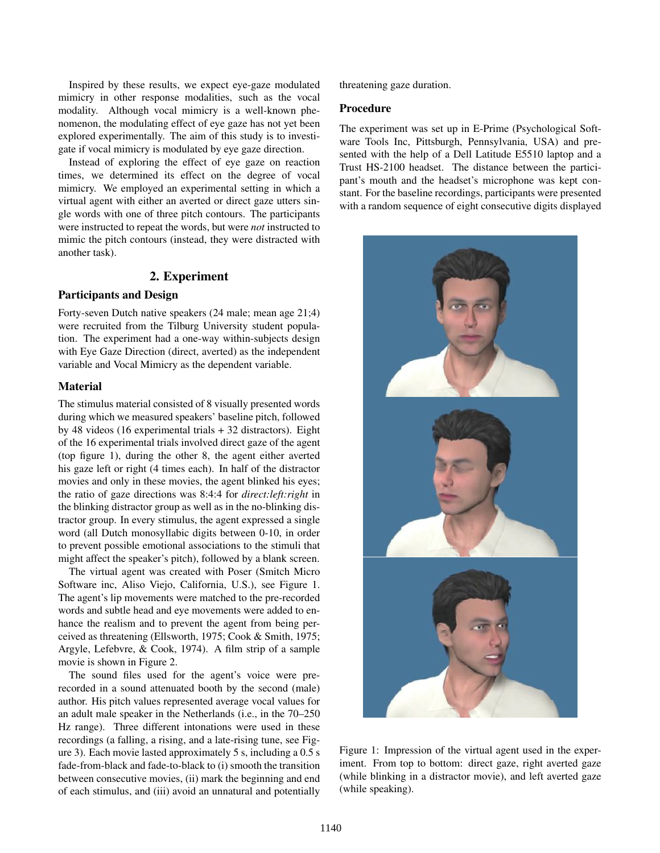Inspired by these results, we expect eye-gaze modulated mimicry in other response modalities, such as the vocal modality. Although vocal mimicry is a well-known phenomenon, the modulating effect of eye gaze has not yet been explored experimentally. The aim of this study is to investigate if vocal mimicry is modulated by eye gaze direction.

Instead of exploring the effect of eye gaze on reaction times, we determined its effect on the degree of vocal mimicry. We employed an experimental setting in which a virtual agent with either an averted or direct gaze utters single words with one of three pitch contours. The participants were instructed to repeat the words, but were *not* instructed to mimic the pitch contours (instead, they were distracted with another task).

## 2. Experiment

# Participants and Design

Forty-seven Dutch native speakers (24 male; mean age 21;4) were recruited from the Tilburg University student population. The experiment had a one-way within-subjects design with Eye Gaze Direction (direct, averted) as the independent variable and Vocal Mimicry as the dependent variable.

### Material

The stimulus material consisted of 8 visually presented words during which we measured speakers' baseline pitch, followed by 48 videos (16 experimental trials + 32 distractors). Eight of the 16 experimental trials involved direct gaze of the agent (top figure 1), during the other 8, the agent either averted his gaze left or right (4 times each). In half of the distractor movies and only in these movies, the agent blinked his eyes; the ratio of gaze directions was 8:4:4 for *direct:left:right* in the blinking distractor group as well as in the no-blinking distractor group. In every stimulus, the agent expressed a single word (all Dutch monosyllabic digits between 0-10, in order to prevent possible emotional associations to the stimuli that might affect the speaker's pitch), followed by a blank screen.

The virtual agent was created with Poser (Smitch Micro Software inc, Aliso Viejo, California, U.S.), see Figure 1. The agent's lip movements were matched to the pre-recorded words and subtle head and eye movements were added to enhance the realism and to prevent the agent from being perceived as threatening (Ellsworth, 1975; Cook & Smith, 1975; Argyle, Lefebvre, & Cook, 1974). A film strip of a sample movie is shown in Figure 2.

The sound files used for the agent's voice were prerecorded in a sound attenuated booth by the second (male) author. His pitch values represented average vocal values for an adult male speaker in the Netherlands (i.e., in the 70–250 Hz range). Three different intonations were used in these recordings (a falling, a rising, and a late-rising tune, see Figure 3). Each movie lasted approximately 5 s, including a 0.5 s fade-from-black and fade-to-black to (i) smooth the transition between consecutive movies, (ii) mark the beginning and end of each stimulus, and (iii) avoid an unnatural and potentially threatening gaze duration.

#### Procedure

The experiment was set up in E-Prime (Psychological Software Tools Inc, Pittsburgh, Pennsylvania, USA) and presented with the help of a Dell Latitude E5510 laptop and a Trust HS-2100 headset. The distance between the participant's mouth and the headset's microphone was kept constant. For the baseline recordings, participants were presented with a random sequence of eight consecutive digits displayed



Figure 1: Impression of the virtual agent used in the experiment. From top to bottom: direct gaze, right averted gaze (while blinking in a distractor movie), and left averted gaze (while speaking).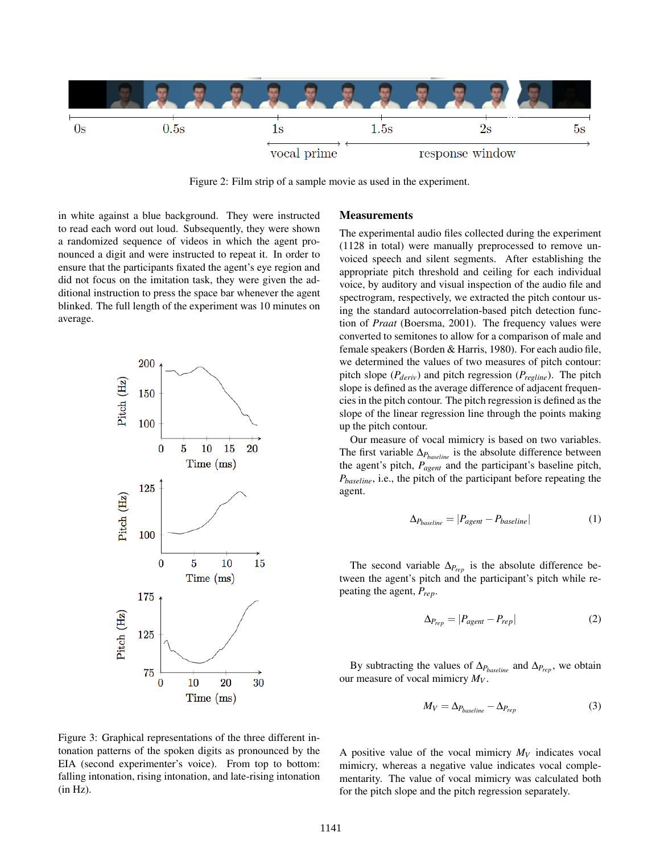

Figure 2: Film strip of a sample movie as used in the experiment.

in white against a blue background. They were instructed to read each word out loud. Subsequently, they were shown a randomized sequence of videos in which the agent pronounced a digit and were instructed to repeat it. In order to ensure that the participants fixated the agent's eye region and did not focus on the imitation task, they were given the additional instruction to press the space bar whenever the agent blinked. The full length of the experiment was 10 minutes on average.



#### **Measurements**

The experimental audio files collected during the experiment (1128 in total) were manually preprocessed to remove unvoiced speech and silent segments. After establishing the appropriate pitch threshold and ceiling for each individual voice, by auditory and visual inspection of the audio file and spectrogram, respectively, we extracted the pitch contour using the standard autocorrelation-based pitch detection function of *Praat* (Boersma, 2001). The frequency values were converted to semitones to allow for a comparison of male and female speakers (Borden & Harris, 1980). For each audio file, we determined the values of two measures of pitch contour: pitch slope (*Pderiv*) and pitch regression (*Pregline*). The pitch slope is defined as the average difference of adjacent frequencies in the pitch contour. The pitch regression is defined as the slope of the linear regression line through the points making up the pitch contour.

Our measure of vocal mimicry is based on two variables. The first variable ∆*Pbaseline* is the absolute difference between the agent's pitch, *Pagent* and the participant's baseline pitch, *Pbaseline*, i.e., the pitch of the participant before repeating the agent.

$$
\Delta_{P_{baseline}} = |P_{agent} - P_{baseline}| \tag{1}
$$

The second variable  $\Delta_{P_{rep}}$  is the absolute difference between the agent's pitch and the participant's pitch while repeating the agent, *Prep*.

$$
\Delta_{P_{rep}} = |P_{agent} - P_{rep}| \tag{2}
$$

By subtracting the values of  $\Delta_{P_{baseline}}$  and  $\Delta_{P_{rep}}$ , we obtain our measure of vocal mimicry *M<sup>V</sup>* .

$$
M_V = \Delta_{P_{baseline}} - \Delta_{P_{rep}} \tag{3}
$$

A positive value of the vocal mimicry  $M_V$  indicates vocal mimicry, whereas a negative value indicates vocal complementarity. The value of vocal mimicry was calculated both for the pitch slope and the pitch regression separately.

Figure 3: Graphical representations of the three different intonation patterns of the spoken digits as pronounced by the EIA (second experimenter's voice). From top to bottom: falling intonation, rising intonation, and late-rising intonation (in Hz).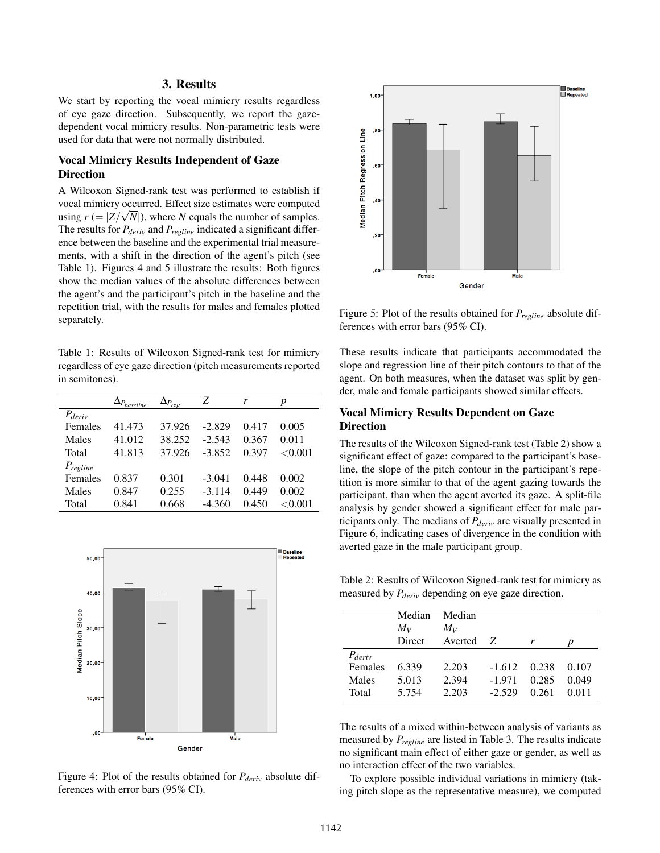# 3. Results

We start by reporting the vocal mimicry results regardless of eye gaze direction. Subsequently, we report the gazedependent vocal mimicry results. Non-parametric tests were used for data that were not normally distributed.

# Vocal Mimicry Results Independent of Gaze Direction

A Wilcoxon Signed-rank test was performed to establish if vocal mimicry occurred. Effect size estimates were computed √ using  $r (= |Z/\sqrt{N}|)$ , where *N* equals the number of samples. The results for *Pderiv* and *Pregline* indicated a significant difference between the baseline and the experimental trial measurements, with a shift in the direction of the agent's pitch (see Table 1). Figures 4 and 5 illustrate the results: Both figures show the median values of the absolute differences between the agent's and the participant's pitch in the baseline and the repetition trial, with the results for males and females plotted separately.

Table 1: Results of Wilcoxon Signed-rank test for mimicry regardless of eye gaze direction (pitch measurements reported in semitones).

|               | $\Delta p_{\text{baseline}}$ | $\Delta_{P_{rep}}$ | Z        | r     | p       |
|---------------|------------------------------|--------------------|----------|-------|---------|
| $P_{deriv}$   |                              |                    |          |       |         |
| Females       | 41.473                       | 37.926             | $-2.829$ | 0.417 | 0.005   |
| Males         | 41.012                       | 38.252             | $-2.543$ | 0.367 | 0.011   |
| Total         | 41.813                       | 37.926             | $-3.852$ | 0.397 | < 0.001 |
| $P_{regline}$ |                              |                    |          |       |         |
| Females       | 0.837                        | 0.301              | $-3.041$ | 0.448 | 0.002   |
| Males         | 0.847                        | 0.255              | $-3.114$ | 0.449 | 0.002   |
| Total         | 0.841                        | 0.668              | $-4.360$ | 0.450 | < 0.001 |
|               |                              |                    |          |       |         |



Figure 4: Plot of the results obtained for *Pderiv* absolute differences with error bars (95% CI).



Figure 5: Plot of the results obtained for *Pregline* absolute differences with error bars (95% CI).

These results indicate that participants accommodated the slope and regression line of their pitch contours to that of the agent. On both measures, when the dataset was split by gender, male and female participants showed similar effects.

# Vocal Mimicry Results Dependent on Gaze Direction

The results of the Wilcoxon Signed-rank test (Table 2) show a significant effect of gaze: compared to the participant's baseline, the slope of the pitch contour in the participant's repetition is more similar to that of the agent gazing towards the participant, than when the agent averted its gaze. A split-file analysis by gender showed a significant effect for male participants only. The medians of *Pderiv* are visually presented in Figure 6, indicating cases of divergence in the condition with averted gaze in the male participant group.

Table 2: Results of Wilcoxon Signed-rank test for mimicry as measured by *Pderiv* depending on eye gaze direction.

|                | Median<br>$M_V$ | Median<br>$M_V$ |              |       |       |
|----------------|-----------------|-----------------|--------------|-------|-------|
|                | Direct          | Averted         | <sup>7</sup> |       | р     |
| $P_{deriv}$    |                 |                 |              |       |       |
| <b>Females</b> | 6.339           | 2.203           | $-1.612$     | 0.238 | 0.107 |
| Males          | 5.013           | 2.394           | -1.971       | 0.285 | 0.049 |
| Total          | 5.754           | 2.203           | $-2.529$     | 0.261 | 0.011 |

The results of a mixed within-between analysis of variants as measured by *Pregline* are listed in Table 3. The results indicate no significant main effect of either gaze or gender, as well as no interaction effect of the two variables.

To explore possible individual variations in mimicry (taking pitch slope as the representative measure), we computed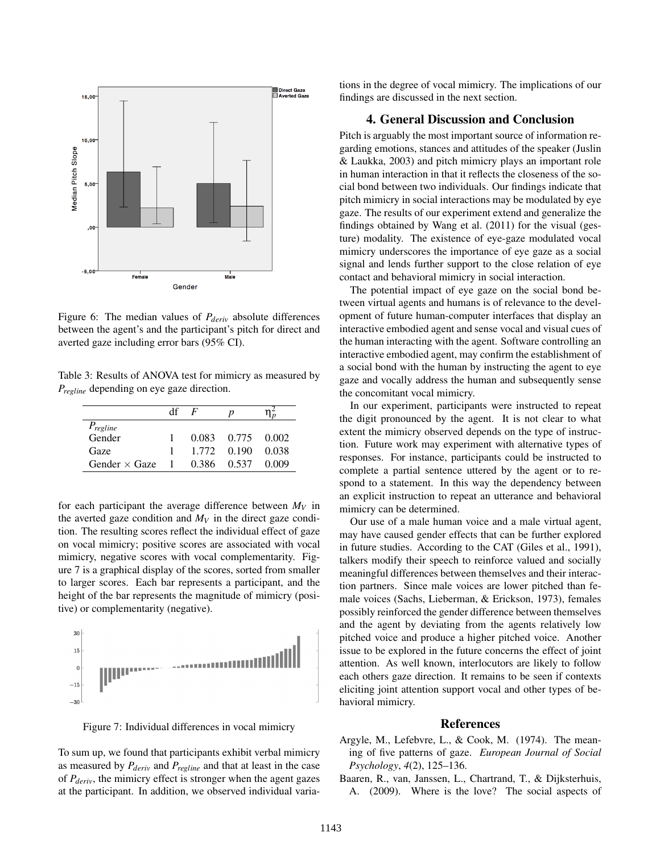

Figure 6: The median values of *Pderiv* absolute differences between the agent's and the participant's pitch for direct and averted gaze including error bars (95% CI).

Table 3: Results of ANOVA test for mimicry as measured by *Pregline* depending on eye gaze direction.

|                      | df    | $\bm{F}$ | p                 |       |
|----------------------|-------|----------|-------------------|-------|
| $P_{regline}$        |       |          |                   |       |
| Gender               |       |          | 0.083 0.775 0.002 |       |
| Gaze                 |       | 1.772    | 0.190             | 0.038 |
| Gender $\times$ Gaze | - 1 - | 0.386 -  | 0.537             | 0.009 |

for each participant the average difference between  $M_V$  in the averted gaze condition and  $M_V$  in the direct gaze condition. The resulting scores reflect the individual effect of gaze on vocal mimicry; positive scores are associated with vocal mimicry, negative scores with vocal complementarity. Figure 7 is a graphical display of the scores, sorted from smaller to larger scores. Each bar represents a participant, and the height of the bar represents the magnitude of mimicry (positive) or complementarity (negative).



Figure 7: Individual differences in vocal mimicry

To sum up, we found that participants exhibit verbal mimicry as measured by *Pderiv* and *Pregline* and that at least in the case of *Pderiv*, the mimicry effect is stronger when the agent gazes at the participant. In addition, we observed individual variations in the degree of vocal mimicry. The implications of our findings are discussed in the next section.

## 4. General Discussion and Conclusion

Pitch is arguably the most important source of information regarding emotions, stances and attitudes of the speaker (Juslin & Laukka, 2003) and pitch mimicry plays an important role in human interaction in that it reflects the closeness of the social bond between two individuals. Our findings indicate that pitch mimicry in social interactions may be modulated by eye gaze. The results of our experiment extend and generalize the findings obtained by Wang et al. (2011) for the visual (gesture) modality. The existence of eye-gaze modulated vocal mimicry underscores the importance of eye gaze as a social signal and lends further support to the close relation of eye contact and behavioral mimicry in social interaction.

The potential impact of eye gaze on the social bond between virtual agents and humans is of relevance to the development of future human-computer interfaces that display an interactive embodied agent and sense vocal and visual cues of the human interacting with the agent. Software controlling an interactive embodied agent, may confirm the establishment of a social bond with the human by instructing the agent to eye gaze and vocally address the human and subsequently sense the concomitant vocal mimicry.

In our experiment, participants were instructed to repeat the digit pronounced by the agent. It is not clear to what extent the mimicry observed depends on the type of instruction. Future work may experiment with alternative types of responses. For instance, participants could be instructed to complete a partial sentence uttered by the agent or to respond to a statement. In this way the dependency between an explicit instruction to repeat an utterance and behavioral mimicry can be determined.

Our use of a male human voice and a male virtual agent, may have caused gender effects that can be further explored in future studies. According to the CAT (Giles et al., 1991), talkers modify their speech to reinforce valued and socially meaningful differences between themselves and their interaction partners. Since male voices are lower pitched than female voices (Sachs, Lieberman, & Erickson, 1973), females possibly reinforced the gender difference between themselves and the agent by deviating from the agents relatively low pitched voice and produce a higher pitched voice. Another issue to be explored in the future concerns the effect of joint attention. As well known, interlocutors are likely to follow each others gaze direction. It remains to be seen if contexts eliciting joint attention support vocal and other types of behavioral mimicry.

#### References

- Argyle, M., Lefebvre, L., & Cook, M. (1974). The meaning of five patterns of gaze. *European Journal of Social Psychology*, *4*(2), 125–136.
- Baaren, R., van, Janssen, L., Chartrand, T., & Dijksterhuis, A. (2009). Where is the love? The social aspects of